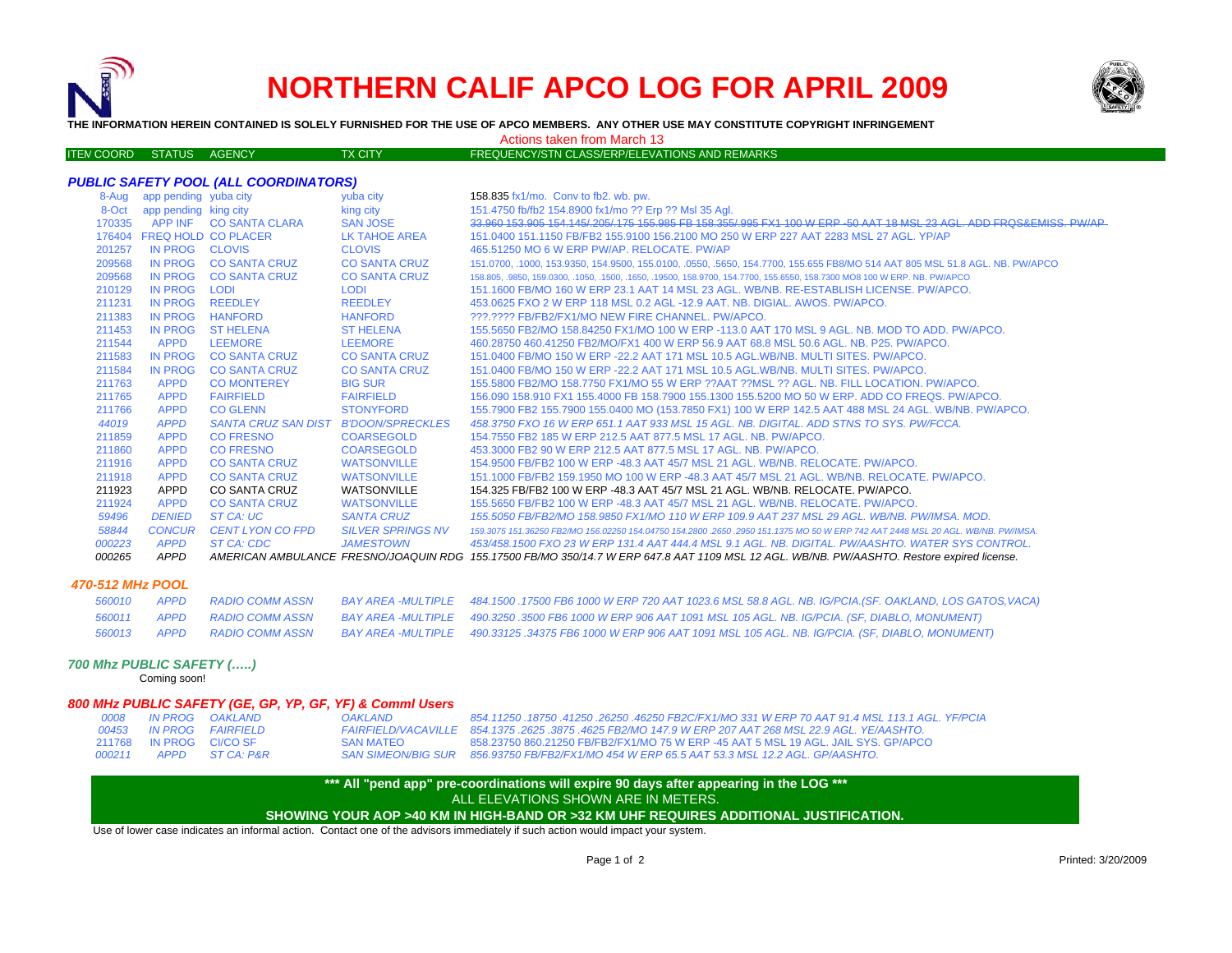

# **NORTHERN CALIF APCO LOG FOR APRIL 2009**



**THE INFORMATION HEREIN CONTAINED IS SOLELY FURNISHED FOR THE USE OF APCO MEMBERS. ANY OTHER USE MAY CONSTITUTE COPYRIGHT INFRINGEMENT**

#### Actions taken from March 13

| FREQUENCY/STN CLASS/ERP/ELEVATIONS AND REMARKS $^{\prime}$<br><b>ITEN COORD STATUS AGENCY</b><br><b>TX CITY</b> |  |
|-----------------------------------------------------------------------------------------------------------------|--|
|-----------------------------------------------------------------------------------------------------------------|--|

#### *PUBLIC SAFETY POOL (ALL COORDINATORS)*

| 8-Aug  | app pending yuba city      |                            | yuba city                | 158.835 fx1/mo. Conv to fb2. wb. pw.                                                                                                       |
|--------|----------------------------|----------------------------|--------------------------|--------------------------------------------------------------------------------------------------------------------------------------------|
| 8-Oct  | app pending king city      |                            | king city                | 151.4750 fb/fb2 154.8900 fx1/mo ?? Erp ?? Msl 35 Agl.                                                                                      |
| 170335 |                            | APP INF CO SANTA CLARA     | <b>SAN JOSE</b>          | 33.960 153.905 154.145/ 205/ 175 155.985 FB 158.355/ 995 FX1 100 W ERP -50 AAT 18 MSL 23 AGL. ADD FROS&EMISS, PW/AP                        |
|        | 176404 FREQ HOLD CO PLACER |                            | LK TAHOE AREA            | 151.0400 151.1150 FB/FB2 155.9100 156.2100 MO 250 W ERP 227 AAT 2283 MSL 27 AGL. YP/AP                                                     |
| 201257 | IN PROG CLOVIS             |                            | <b>CLOVIS</b>            | 465,51250 MO 6 W ERP PW/AP, RELOCATE, PW/AP                                                                                                |
| 209568 | IN PROG                    | <b>CO SANTA CRUZ</b>       | <b>CO SANTA CRUZ</b>     | 151,0700, 1000, 153,9350, 154,9500, 155,0100, 0550, .5650, 154,7700, 155,655 FB8/MO 514 AAT 805 MSL 51.8 AGL, NB, PW/APCO                  |
| 209568 |                            | IN PROG CO SANTA CRUZ      | <b>CO SANTA CRUZ</b>     | 158,805, 9850, 159,0300, 1050, 1500, 1650, 19500, 158,9700, 154,7700, 155,6550, 158,7300 MO8 100 W ERP, NB, PW/APCO                        |
| 210129 | <b>IN PROG</b>             | LODI                       | <b>LODI</b>              | 151.1600 FB/MO 160 W ERP 23.1 AAT 14 MSL 23 AGL, WB/NB, RE-ESTABLISH LICENSE, PW/APCO,                                                     |
| 211231 | <b>IN PROG</b>             | <b>REEDLEY</b>             | <b>REEDLEY</b>           | 453.0625 FXO 2 W ERP 118 MSL 0.2 AGL -12.9 AAT, NB, DIGIAL, AWOS, PW/APCO,                                                                 |
| 211383 | <b>IN PROG</b>             | <b>HANFORD</b>             | <b>HANFORD</b>           | ???.???? FB/FB2/FX1/MO NEW FIRE CHANNEL. PW/APCO.                                                                                          |
| 211453 | <b>IN PROG</b>             | <b>ST HELENA</b>           | <b>ST HELENA</b>         | 155,5650 FB2/MO 158,84250 FX1/MO 100 W ERP -113.0 AAT 170 MSL 9 AGL, NB, MOD TO ADD, PW/APCO,                                              |
| 211544 | <b>APPD</b>                | <b>LEEMORE</b>             | <b>LEEMORE</b>           | 460.28750 460.41250 FB2/MO/FX1 400 W ERP 56.9 AAT 68.8 MSL 50.6 AGL, NB, P25, PW/APCO,                                                     |
| 211583 | IN PROG                    | <b>CO SANTA CRUZ</b>       | <b>CO SANTA CRUZ</b>     | 151,0400 FB/MO 150 W ERP -22.2 AAT 171 MSL 10.5 AGL.WB/NB, MULTI SITES, PW/APCO,                                                           |
| 211584 | <b>IN PROG</b>             | <b>CO SANTA CRUZ</b>       | <b>CO SANTA CRUZ</b>     | 151,0400 FB/MO 150 W ERP -22.2 AAT 171 MSL 10.5 AGL.WB/NB, MULTI SITES, PW/APCO,                                                           |
| 211763 | <b>APPD</b>                | <b>CO MONTEREY</b>         | <b>BIG SUR</b>           | 155,5800 FB2/MO 158,7750 FX1/MO 55 W ERP ??AAT ??MSL ?? AGL. NB. FILL LOCATION, PW/APCO.                                                   |
| 211765 | <b>APPD</b>                | <b>FAIRFIELD</b>           | <b>FAIRFIELD</b>         | 156,090 158,910 FX1 155,4000 FB 158,7900 155,1300 155,5200 MO 50 W ERP, ADD CO FREQS, PW/APCO,                                             |
| 211766 | <b>APPD</b>                | <b>CO GLENN</b>            | <b>STONYFORD</b>         | 155.7900 FB2 155.7900 155.0400 MO (153.7850 FX1) 100 W ERP 142.5 AAT 488 MSL 24 AGL. WB/NB. PW/APCO.                                       |
| 44019  | <b>APPD</b>                | <b>SANTA CRUZ SAN DIST</b> | <b>B'DOON/SPRECKLES</b>  | 458.3750 FXO 16 W ERP 651.1 AAT 933 MSL 15 AGL. NB. DIGITAL. ADD STNS TO SYS. PW/FCCA.                                                     |
| 211859 | <b>APPD</b>                | <b>CO FRESNO</b>           | <b>COARSEGOLD</b>        | 154.7550 FB2 185 W ERP 212.5 AAT 877.5 MSL 17 AGL, NB, PW/APCO,                                                                            |
| 211860 | <b>APPD</b>                | <b>CO FRESNO</b>           | <b>COARSEGOLD</b>        | 453,3000 FB2 90 W ERP 212.5 AAT 877.5 MSL 17 AGL, NB, PW/APCO,                                                                             |
| 211916 | <b>APPD</b>                | <b>CO SANTA CRUZ</b>       | <b>WATSONVILLE</b>       | 154,9500 FB/FB2 100 W ERP -48.3 AAT 45/7 MSL 21 AGL, WB/NB, RELOCATE, PW/APCO,                                                             |
| 211918 | <b>APPD</b>                | <b>CO SANTA CRUZ</b>       | <b>WATSONVILLE</b>       | 151.1000 FB/FB2 159.1950 MO 100 W ERP -48.3 AAT 45/7 MSL 21 AGL, WB/NB, RELOCATE, PW/APCO,                                                 |
| 211923 | APPD                       | <b>CO SANTA CRUZ</b>       | <b>WATSONVILLE</b>       | 154.325 FB/FB2 100 W ERP -48.3 AAT 45/7 MSL 21 AGL, WB/NB, RELOCATE, PW/APCO,                                                              |
| 211924 | <b>APPD</b>                | <b>CO SANTA CRUZ</b>       | <b>WATSONVILLE</b>       | 155,5650 FB/FB2 100 W ERP -48.3 AAT 45/7 MSL 21 AGL, WB/NB, RELOCATE, PW/APCO,                                                             |
| 59496  | <b>DENIED</b>              | ST CA: UC                  | <b>SANTA CRUZ</b>        | 155.5050 FB/FB2/MO 158.9850 FX1/MO 110 W ERP 109.9 AAT 237 MSL 29 AGL, WB/NB, PW/IMSA, MOD,                                                |
| 58844  | <b>CONCUR</b>              | CENT LYON CO FPD           | <b>SILVER SPRINGS NV</b> | 159,3075 151,36250 FB2/MO 156,02250 154,04750 154,2800 ,2650 ,2950 151,1375 MO 50 W ERP 742 AAT 2448 MSL 20 AGL, WB/NB, PW/IMSA,           |
| 000223 | <b>APPD</b>                | ST CA: CDC                 | <b>JAMESTOWN</b>         | 453/458.1500 FXO 23 W ERP 131.4 AAT 444.4 MSL 9.1 AGL. NB. DIGITAL. PW/AASHTO. WATER SYS CONTROL.                                          |
| 000265 | <b>APPD</b>                |                            |                          | AMERICAN AMBULANCE FRESNO/JOAQUIN RDG 155.17500 FB/MO 350/14.7 W ERP 647.8 AAT 1109 MSL 12 AGL. WB/NB. PW/AASHTO. Restore expired license. |
|        |                            |                            |                          |                                                                                                                                            |

#### *470-512 MHz POOL*

|  |  | 560010 APPD RADIO COMM ASSN BAY AREA -MULTIPLE 484.1500 .17500 FB6 1000 W ERP 720 AAT 1023.6 MSL 58.8 AGL. NB. IG/PCIA.(SF. OAKLAND, LOS GATOS, VACA) |
|--|--|-------------------------------------------------------------------------------------------------------------------------------------------------------|
|  |  | 560011 APPD RADIO COMM ASSN BAY AREA -MULTIPLE 490.3250 .3500 FB6 1000 W ERP 906 AAT 1091 MSL 105 AGL. NB. IG/PCIA. (SF. DIABLO, MONUMENT)            |
|  |  | 560013 APPD RADIO COMM ASSN BAY AREA -MULTIPLE 490.33125 .34375 FB6 1000 W ERP 906 AAT 1091 MSL 105 AGL. NB. IG/PCIA. (SF. DIABLO, MONUMENT)          |

#### *700 Mhz PUBLIC SAFETY (…..)*

Coming soon!

## *800 MHz PUBLIC SAFETY (GE, GP, YP, GF, YF) & Comml Users*

| IN PROG     | <b>OAKLAND</b>        |
|-------------|-----------------------|
| IN PROG     | <b>FAIRFIFI D</b>     |
| IN PROG     | CI/CO SF              |
| <b>APPD</b> | <b>ST CA: P&amp;F</b> |
|             |                       |

 *IN PROG OAKLAND OAKLAND 854.11250 .18750 .41250 .26250 .46250 FB2C/FX1/MO 331 W ERP 70 AAT 91.4 MSL 113.1 AGL. YF/PCIA IN PROG FAIRFIELD FAIRFIELD/VACAVILLE 854.1375 .2625 .3875 .4625 FB2/MO 147.9 W ERP 207 AAT 268 MSL 22.9 AGL. YE/AASHTO.* IN PROG CI/CO SF SAN MATEO 858.23750 860.21250 FB/FB2/FX1/MO 75 W ERP -45 AAT 5 MSL 19 AGL. JAIL SYS. GP/APCO*APPD ST CA: P&R SAN SIMEON/BIG SUR 856.93750 FB/FB2/FX1/MO 454 W ERP 65.5 AAT 53.3 MSL 12.2 AGL. GP/AASHTO.*

### **\*\*\* All "pend app" pre-coordinations will expire 90 days after appearing in the LOG \*\*\*** ALL ELEVATIONS SHOWN ARE IN METERS.

**SHOWING YOUR AOP >40 KM IN HIGH-BAND OR >32 KM UHF REQUIRES ADDITIONAL JUSTIFICATION.** 

Use of lower case indicates an informal action. Contact one of the advisors immediately if such action would impact your system.